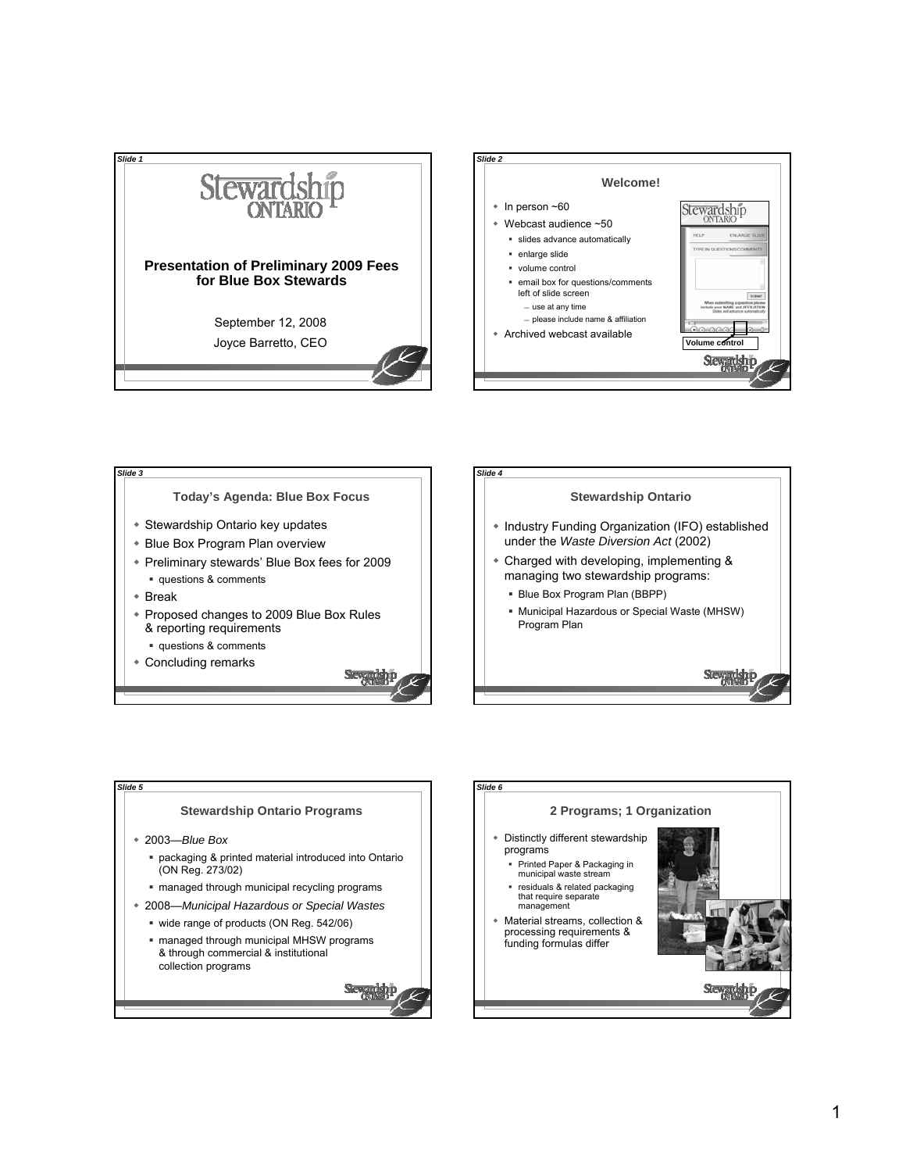







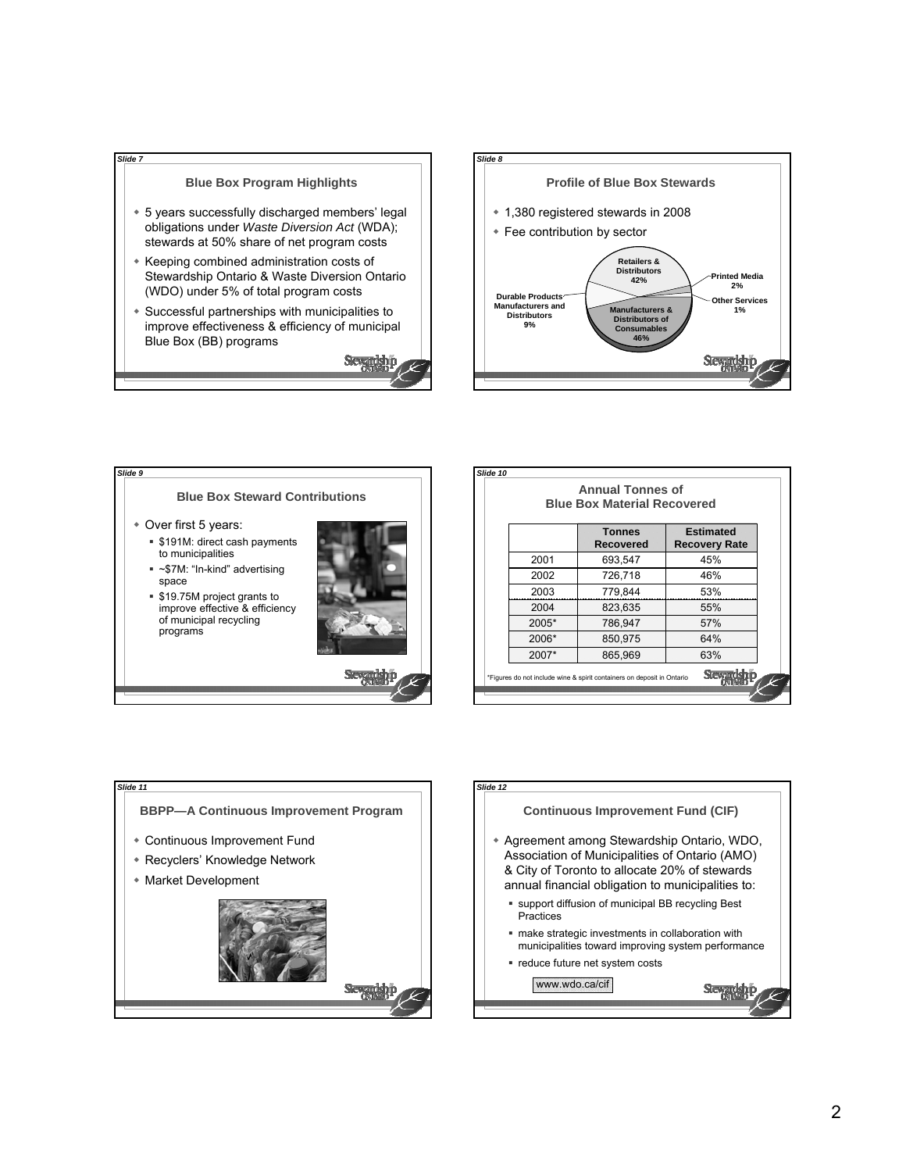





|       | <b>Blue Box Material Recovered</b>                                     |                                          |
|-------|------------------------------------------------------------------------|------------------------------------------|
|       | <b>Tonnes</b><br>Recovered                                             | <b>Estimated</b><br><b>Recovery Rate</b> |
| 2001  | 693,547                                                                | 45%                                      |
| 2002  | 726,718                                                                | 46%                                      |
| 2003  | 779,844                                                                | 53%                                      |
| 2004  | 823,635                                                                | 55%                                      |
| 2005* | 786,947                                                                | 57%                                      |
| 2006* | 850,975                                                                | 64%                                      |
| 2007* | 865,969                                                                | 63%                                      |
|       | *Figures do not include wine & spirit containers on deposit in Ontario |                                          |



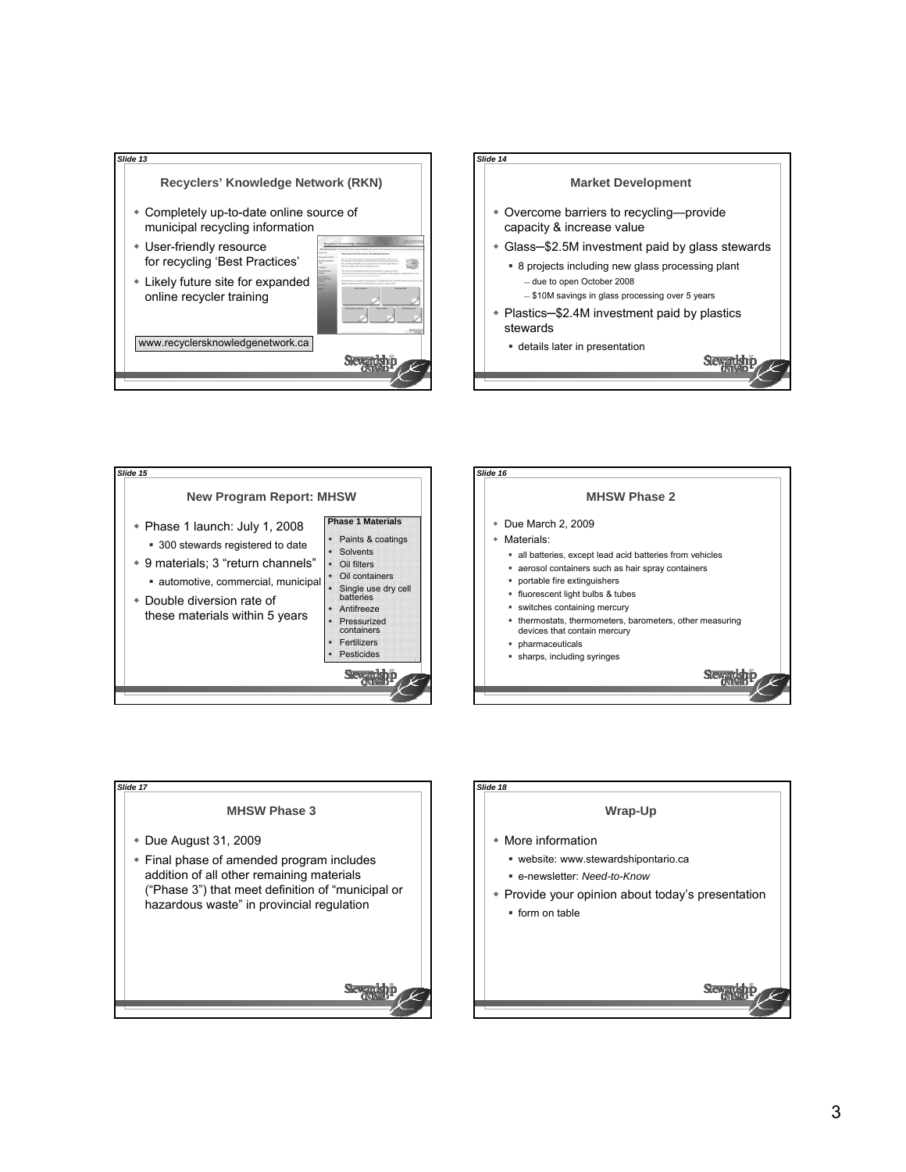







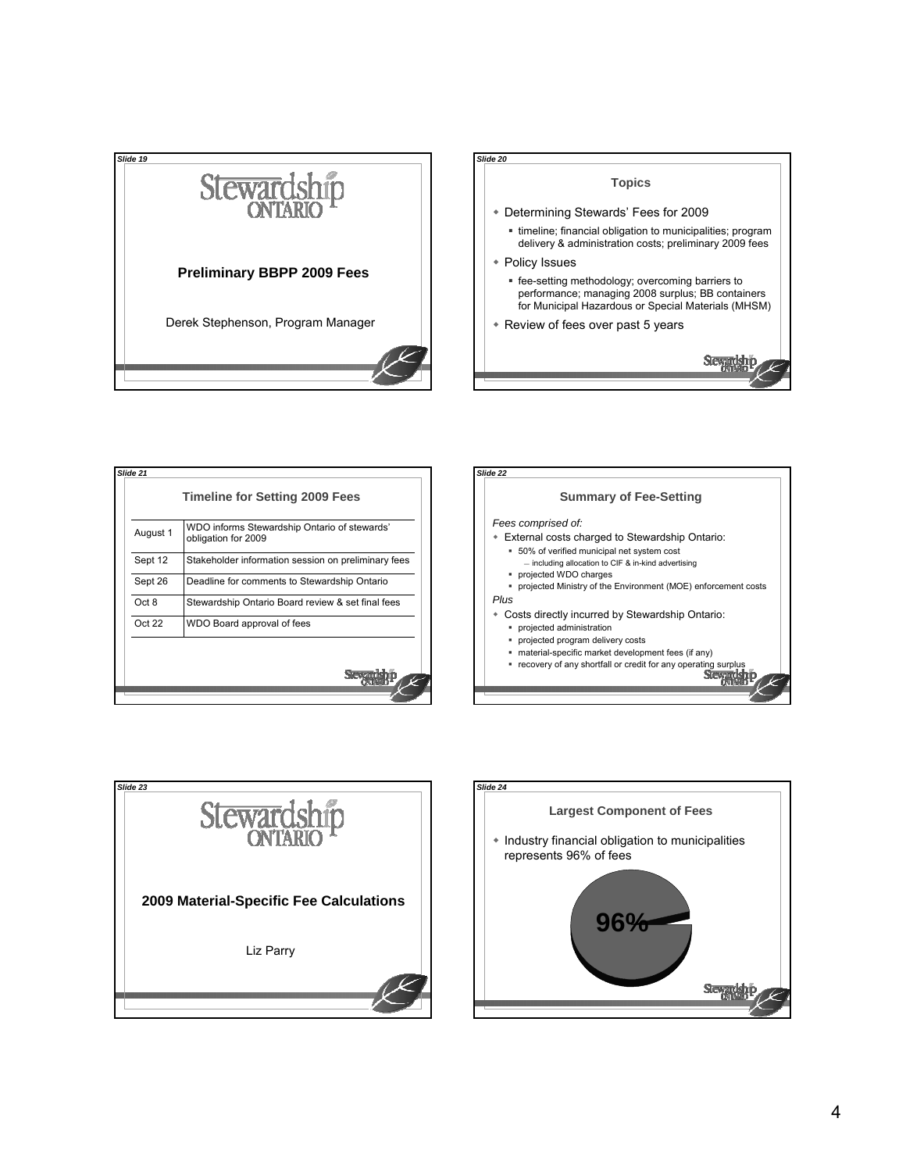

| August 1 | WDO informs Stewardship Ontario of stewards'<br>obligation for 2009 |
|----------|---------------------------------------------------------------------|
| Sept 12  | Stakeholder information session on preliminary fees                 |
| Sept 26  | Deadline for comments to Stewardship Ontario                        |
| Oct 8    | Stewardship Ontario Board review & set final fees                   |
| Oct22    | WDO Board approval of fees                                          |
|          |                                                                     |





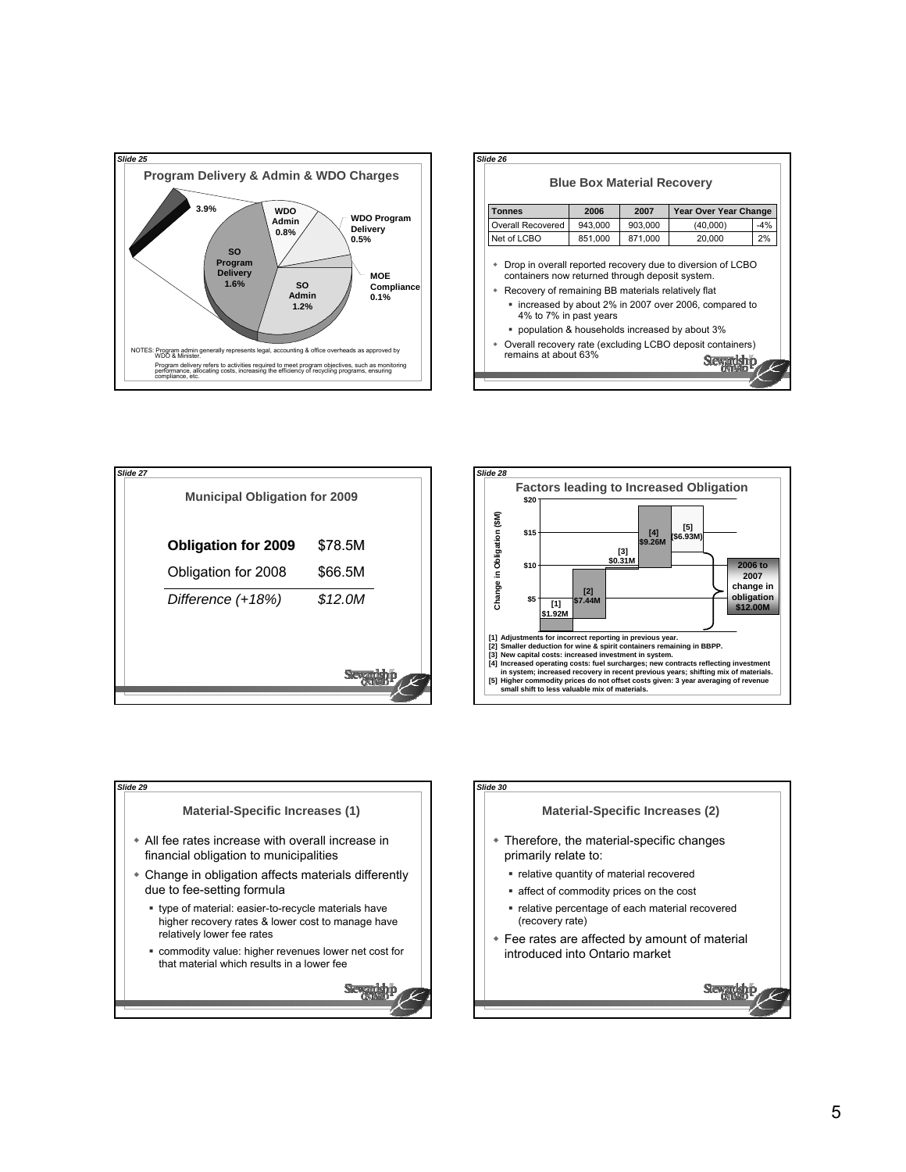

| <b>Tonnes</b>                                                                                         | 2006    | 2007    | Year Over Year Change                                      |       |
|-------------------------------------------------------------------------------------------------------|---------|---------|------------------------------------------------------------|-------|
| Overall Recovered                                                                                     | 943,000 | 903,000 | (40,000)                                                   | $-4%$ |
| Net of LCBO                                                                                           | 851,000 | 871,000 | 20,000                                                     | 2%    |
| containers now returned through deposit system.<br>Recovery of remaining BB materials relatively flat |         |         | Drop in overall reported recovery due to diversion of LCBO |       |
| 4% to 7% in past years                                                                                |         |         | " increased by about 2% in 2007 over 2006, compared to     |       |
| " population & households increased by about 3%                                                       |         |         |                                                            |       |







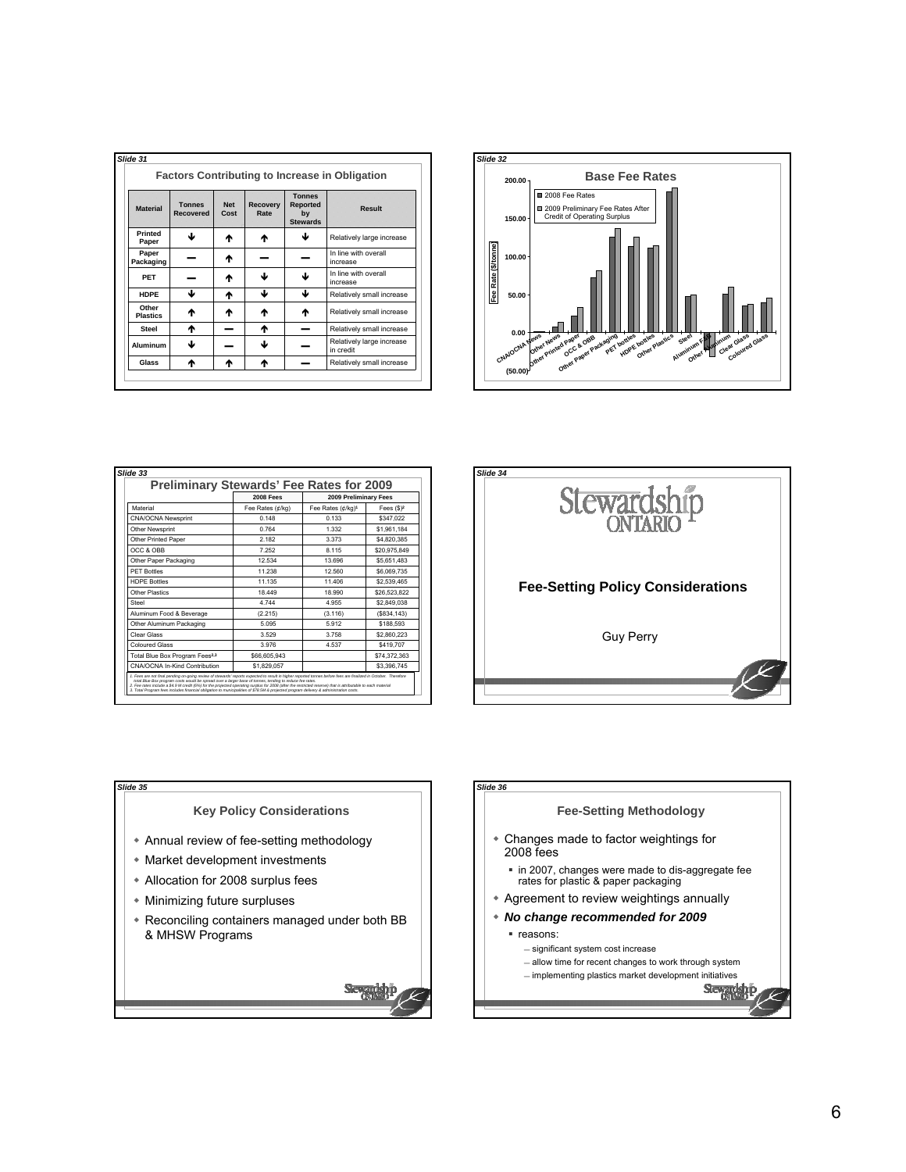|                          |                            |                    |                         |                                                           | <b>Factors Contributing to Increase in Obligation</b> |
|--------------------------|----------------------------|--------------------|-------------------------|-----------------------------------------------------------|-------------------------------------------------------|
| <b>Material</b>          | <b>Tonnes</b><br>Recovered | <b>Net</b><br>Cost | <b>Recovery</b><br>Rate | <b>Tonnes</b><br><b>Reported</b><br>by<br><b>Stewards</b> | Result                                                |
| <b>Printed</b><br>Paper  | J                          | ᠰ                  | ᠰ                       | ഄ                                                         | Relatively large increase                             |
| Paper<br>Packaging       |                            | ₼                  |                         |                                                           | In line with overall<br>increase                      |
| PET                      |                            | ₼                  | ﯩ                       | ഄ                                                         | In line with overall<br>increase                      |
| <b>HDPE</b>              | ↓                          | ₼                  | ▲                       | ↓                                                         | Relatively small increase                             |
| Other<br><b>Plastics</b> | ᠰ                          | ₼                  | ₼                       | ተ                                                         | Relatively small increase                             |
| Steel                    | ተ                          |                    | ᠰ                       |                                                           | Relatively small increase                             |
| Aluminum                 | ↓                          |                    | J                       |                                                           | Relatively large increase<br>in credit                |
| Glass                    | ♠                          | ♠                  | ♠                       |                                                           | Relatively small increase                             |



|                                            | <b>2008 Fees</b> | 2009 Preliminary Fees         |              |
|--------------------------------------------|------------------|-------------------------------|--------------|
| Material                                   | Fee Rates (¢/kg) | Fee Rates (¢/kg) <sup>1</sup> | Fees $(S)^2$ |
| <b>CNA/OCNA Newsprint</b>                  | 0.148            | 0.133                         | \$347.022    |
| Other Newsprint                            | 0.764            | 1.332                         | \$1.961.184  |
| Other Printed Paper                        | 2 182            | 3.373                         | \$4,820,385  |
| OCC & OBB                                  | 7 252            | 8 1 1 5                       | \$20,975.849 |
| Other Paper Packaging                      | 12.534           | 13.696                        | \$5,651,483  |
| <b>PFT Bottles</b>                         | 11 238           | 12.560                        | \$6,069,735  |
| <b>HDPF Bottles</b>                        | 11.135           | 11406                         | \$2,539.465  |
| Other Plastics                             | 18 449           | 18 990                        | \$26,523,822 |
| Steel                                      | 4 7 4 4          | 4 9 5 5                       | \$2,849.038  |
| Aluminum Food & Beverage                   | (2.215)          | (3.116)                       | (S834.143)   |
| Other Aluminum Packaging                   | 5.095            | 5912                          | \$188,593    |
| Clear Glass                                | 3.529            | 3758                          | \$2,860.223  |
| <b>Coloured Glass</b>                      | 3.976            | 4 5 3 7                       | \$419,707    |
| Total Blue Box Program Fees <sup>2,3</sup> | \$66,605,943     |                               | \$74.372.363 |
| CNA/OCNA In-Kind Contribution              | \$1,829,057      |                               | \$3,396,745  |





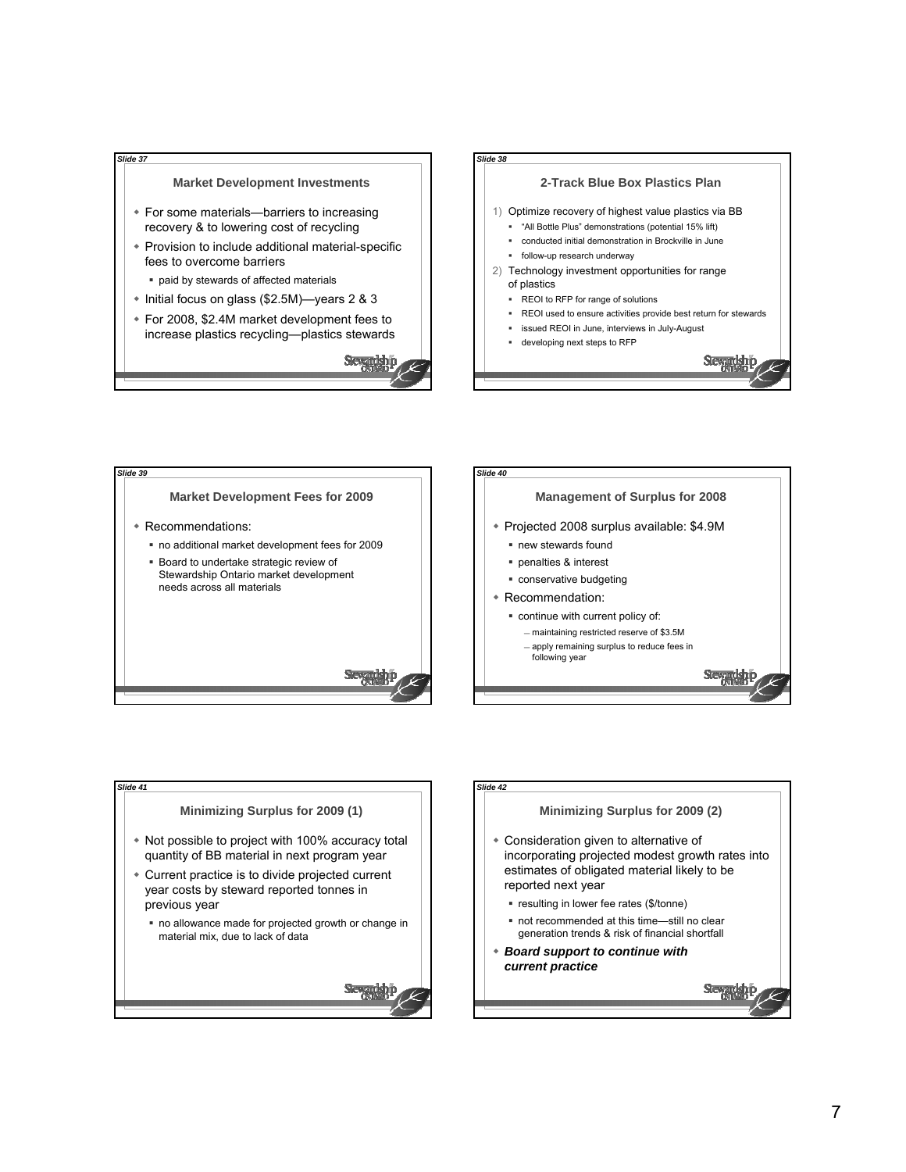







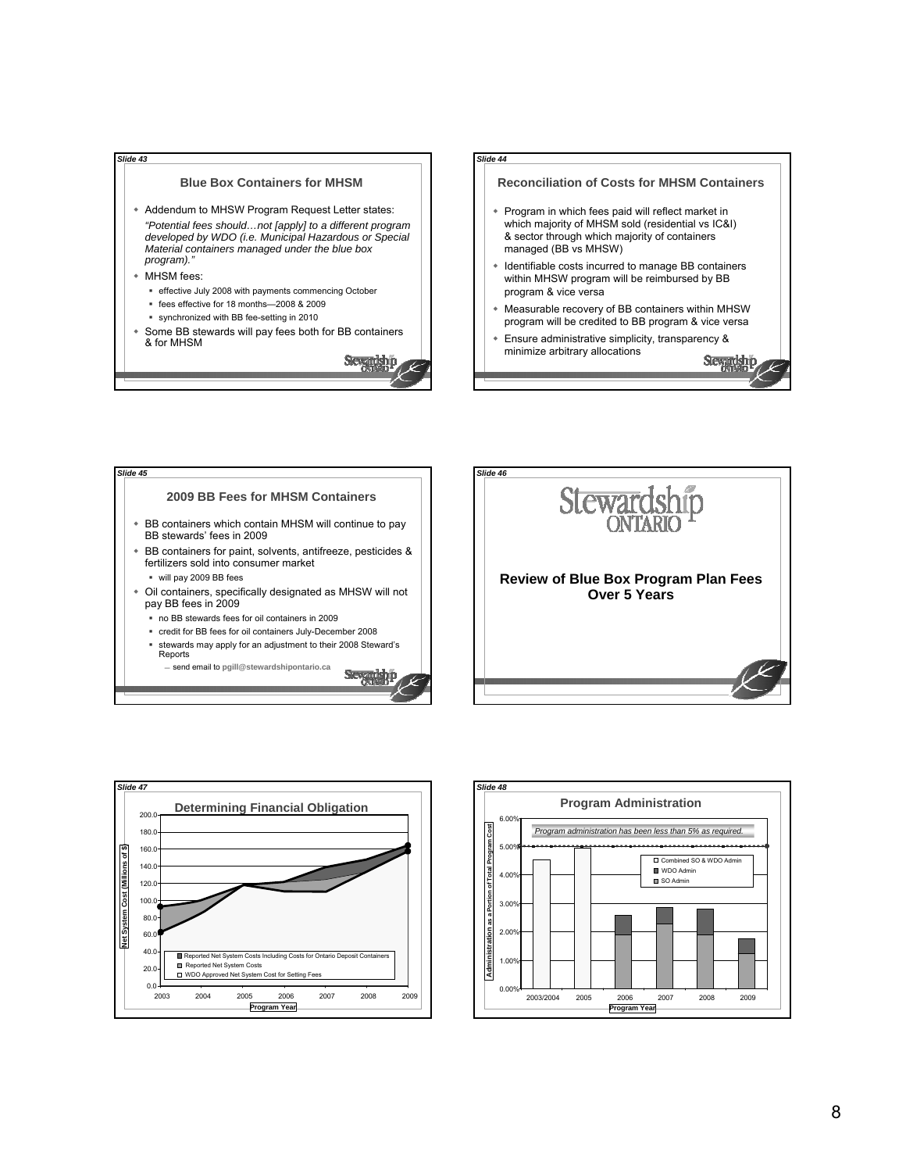## **Blue Box Containers for MHSM** Addendum to MHSW Program Request Letter states: *"Potential fees should…not [apply] to a different program developed by WDO (i.e. Municipal Hazardous or Special Material containers managed under the blue box program)."*

MHSM fees:

*Slide 43*

- effective July 2008 with payments commencing October
- fees effective for 18 months—2008 & 2009
- synchronized with BB fee-setting in 2010
- Some BB stewards will pay fees both for BB containers & for MHSM

Slevendship

**Slevendah p** 



Stewardship

#### **2009 BB Fees for MHSM Containers** BB containers which contain MHSM will continue to pay BB stewards' fees in 2009 BB containers for paint, solvents, antifreeze, pesticides & fertilizers sold into consumer market will pay 2009 BB fees Oil containers, specifically designated as MHSW will not pay BB fees in 2009 no BB stewards fees for oil containers in 2009 credit for BB fees for oil containers July-December 2008 *Slide 45*

 stewards may apply for an adjustment to their 2008 Steward's Reports send email to **pgill@stewardshipontario.ca**





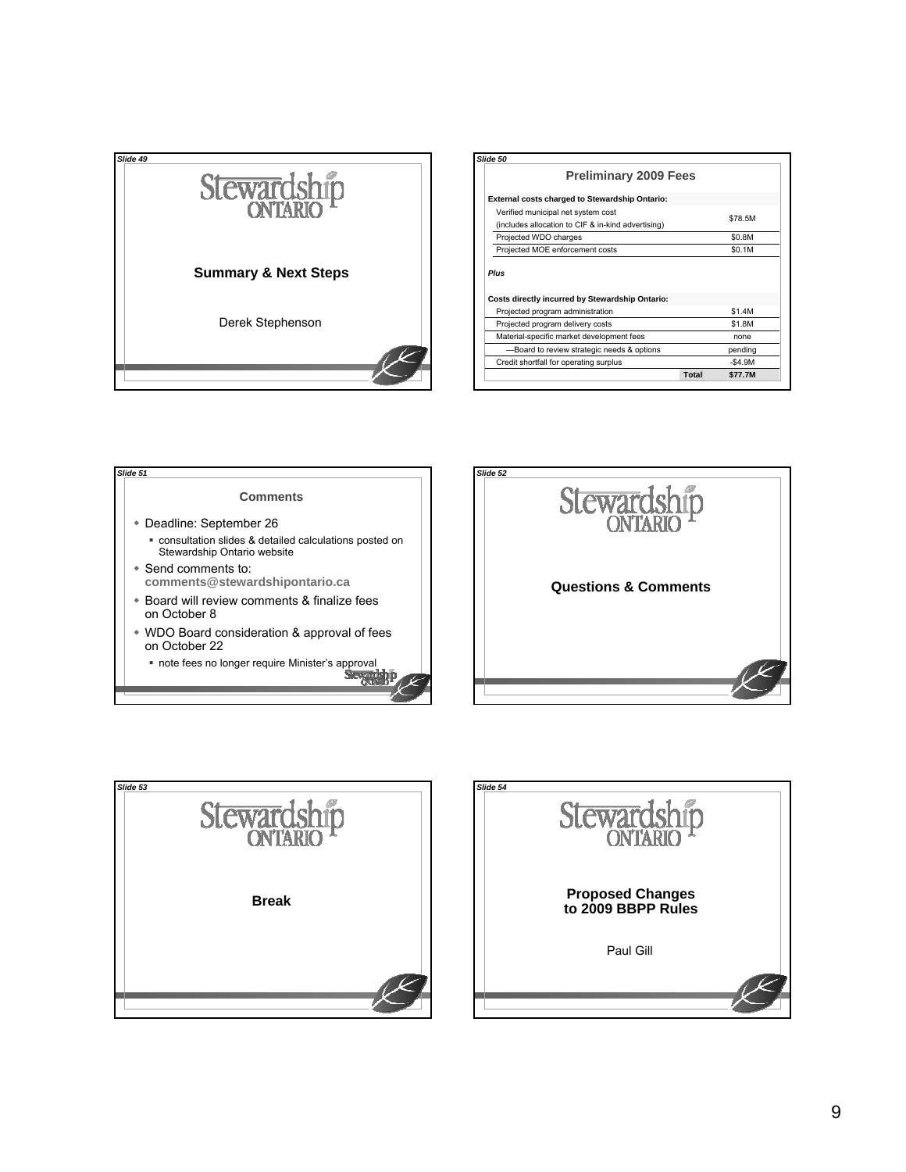

| Slide 50                                                                                 |          |
|------------------------------------------------------------------------------------------|----------|
| <b>Preliminary 2009 Fees</b>                                                             |          |
| External costs charged to Stewardship Ontario:                                           |          |
| Verified municipal net system cost<br>(includes allocation to CIF & in-kind advertising) | \$78.5M  |
| Projected WDO charges                                                                    | \$0.8M   |
| Projected MOE enforcement costs                                                          | \$0.1M   |
| Plus                                                                                     |          |
| Costs directly incurred by Stewardship Ontario:                                          |          |
| Projected program administration                                                         | \$1.4M   |
| Projected program delivery costs                                                         | \$1.8M   |
| Material-specific market development fees                                                | none     |
| -Board to review strategic needs & options                                               | pending  |
| Credit shortfall for operating surplus                                                   | $-$4.9M$ |







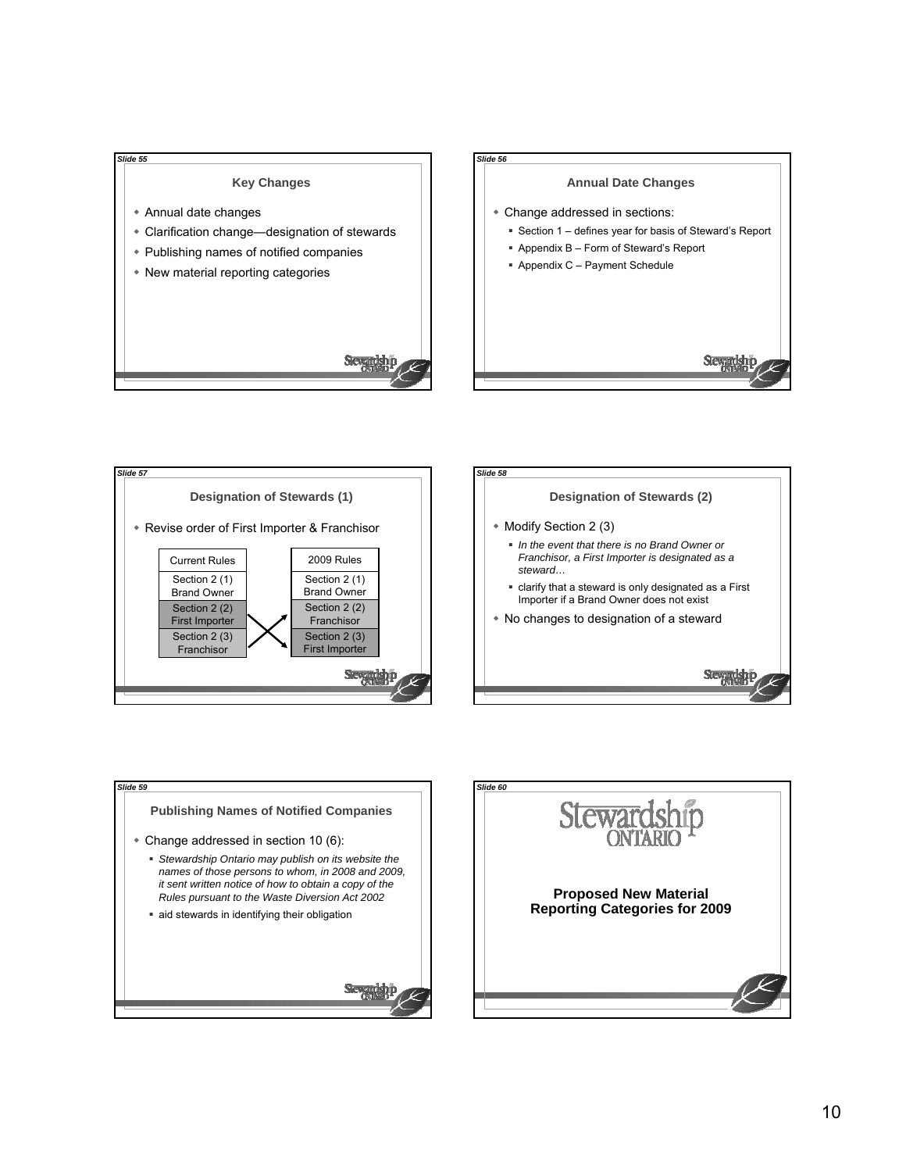### **Key Changes**

Annual date changes

*Slide 55*

Clarification change—designation of stewards

Sevendsh

- Publishing names of notified companies
- New material reporting categories









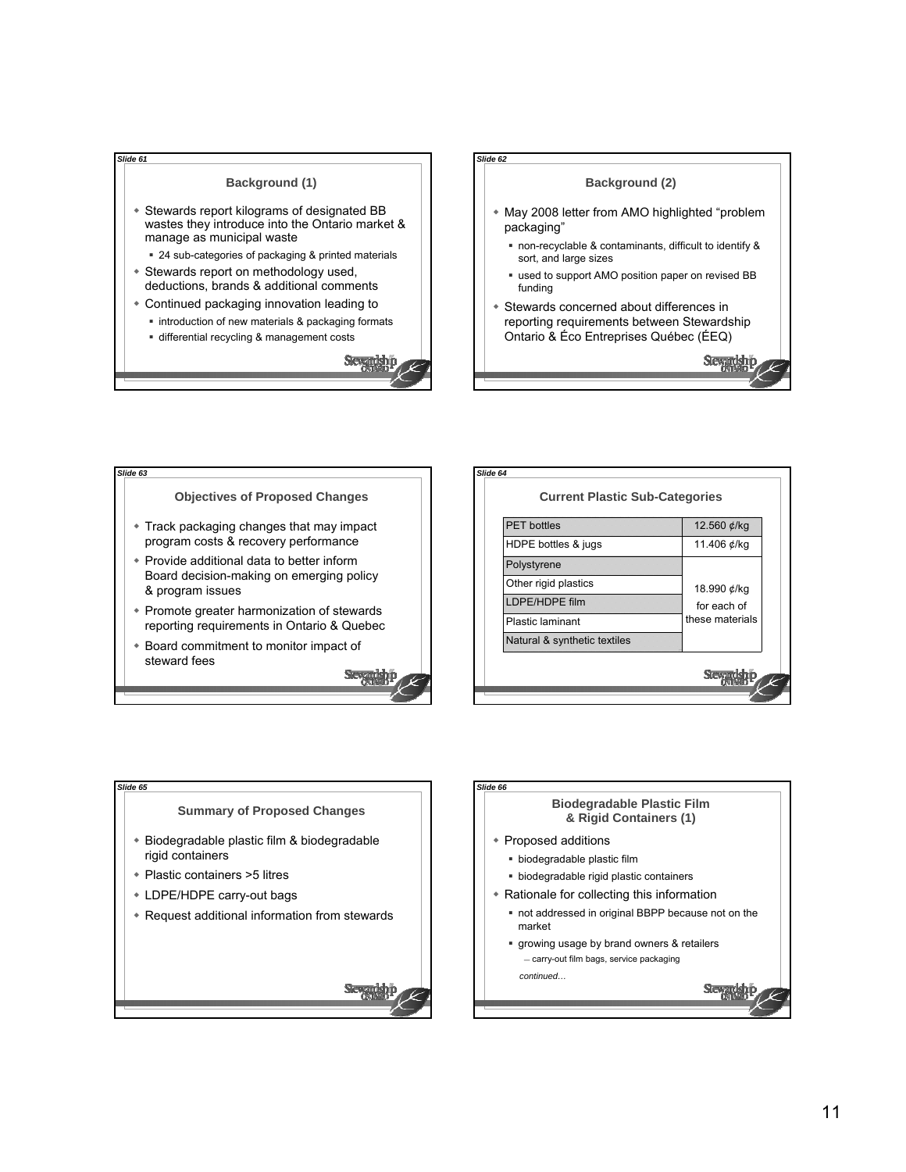#### **Background (1)**

*Slide 61*

*Slide 63*

- Stewards report kilograms of designated BB wastes they introduce into the Ontario market & manage as municipal waste
	- 24 sub-categories of packaging & printed materials
- Stewards report on methodology used, deductions, brands & additional comments
- Continued packaging innovation leading to
	- **·** introduction of new materials & packaging formats
	- differential recycling & management costs





# **Objectives of Proposed Changes** Track packaging changes that may impact program costs & recovery performance

- Provide additional data to better inform Board decision-making on emerging policy & program issues
- Promote greater harmonization of stewards reporting requirements in Ontario & Quebec
- Board commitment to monitor impact of steward fees Slevenskip





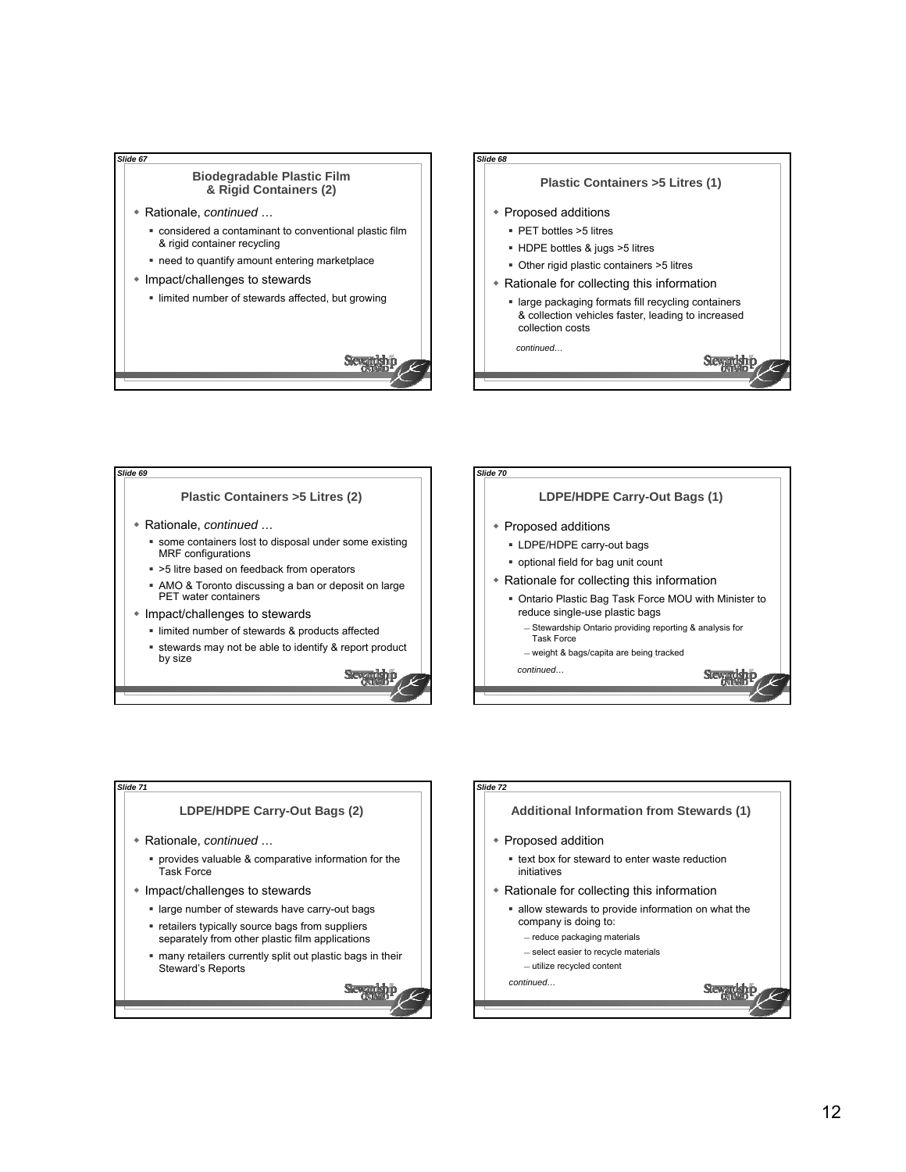